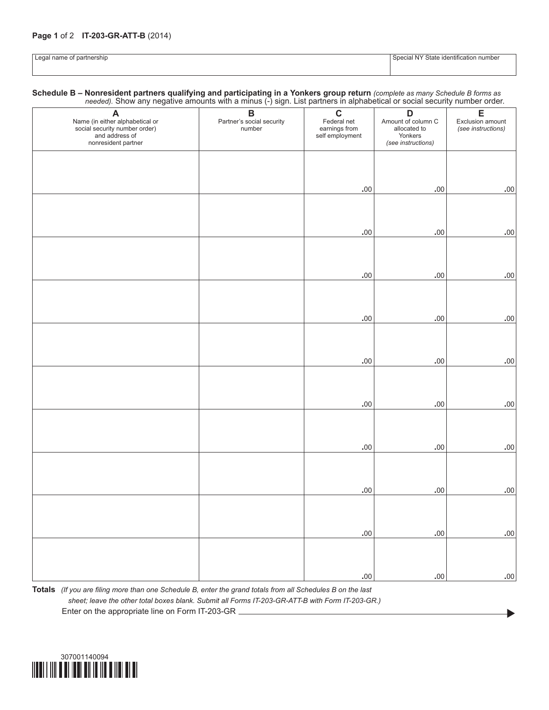## **Page 1** of 2 **IT-203-GR-ATT-B** (2014)

| $\Omega$<br>name<br>∼rmers.<br>nar<br>-cur<br>ີ | - VI.<br>∽tate<br>number<br><b>Identificatio</b> |
|-------------------------------------------------|--------------------------------------------------|
|                                                 |                                                  |

**Schedule B – Nonresident partners qualifying and participating in a Yonkers group return** *(complete as many Schedule B forms as needed).* Show any negative amounts with a minus (-) sign. List partners in alphabetical or social security number order.

|                                                                                                                |                                                     | - 11                                                           |                                                                          | ◞                                           |
|----------------------------------------------------------------------------------------------------------------|-----------------------------------------------------|----------------------------------------------------------------|--------------------------------------------------------------------------|---------------------------------------------|
| A<br>Name (in either alphabetical or<br>social security number order)<br>and address of<br>nonresident partner | $\, {\bf B}$<br>Partner's social security<br>number | $\mathbf C$<br>Federal net<br>earnings from<br>self employment | D<br>Amount of column C<br>allocated to<br>Yonkers<br>(see instructions) | E<br>Exclusion amount<br>(see instructions) |
|                                                                                                                |                                                     |                                                                |                                                                          |                                             |
|                                                                                                                |                                                     | $.00 \,$                                                       | $.00 \,$                                                                 | .00.                                        |
|                                                                                                                |                                                     |                                                                |                                                                          |                                             |
|                                                                                                                |                                                     | $.00 \,$                                                       | $.00 \,$                                                                 | $.00 \,$                                    |
|                                                                                                                |                                                     |                                                                |                                                                          |                                             |
|                                                                                                                |                                                     | $.00 \,$                                                       | $.00 \,$                                                                 | $.00 \,$                                    |
|                                                                                                                |                                                     |                                                                |                                                                          |                                             |
|                                                                                                                |                                                     | $.00 \,$                                                       | $.00 \,$                                                                 | $.00 \,$                                    |
|                                                                                                                |                                                     |                                                                |                                                                          |                                             |
|                                                                                                                |                                                     | $.00 \,$                                                       | $.00 \,$                                                                 | $.00 \,$                                    |
|                                                                                                                |                                                     |                                                                |                                                                          |                                             |
|                                                                                                                |                                                     | $.00 \,$                                                       | $.00 \,$                                                                 | $.00 \,$                                    |
|                                                                                                                |                                                     |                                                                |                                                                          |                                             |
|                                                                                                                |                                                     | $.00 \,$                                                       | .00.                                                                     | $.00 \,$                                    |
|                                                                                                                |                                                     |                                                                |                                                                          |                                             |
|                                                                                                                |                                                     | $.00 \,$                                                       | $.00 \,$                                                                 | $.00 \,$                                    |
|                                                                                                                |                                                     |                                                                |                                                                          |                                             |
|                                                                                                                |                                                     | $.00 \,$                                                       | .00.                                                                     | $.00 \,$                                    |
|                                                                                                                |                                                     |                                                                |                                                                          |                                             |
|                                                                                                                |                                                     | $.00 \,$                                                       | .00.                                                                     | $.00 \,$                                    |

**Totals** *(If you are filing more than one Schedule B, enter the grand totals from all Schedules B on the last sheet; leave the other total boxes blank. Submit all Forms IT-203-GR-ATT-B with Form IT-203-GR.)* Enter on the appropriate line on Form IT-203-GR